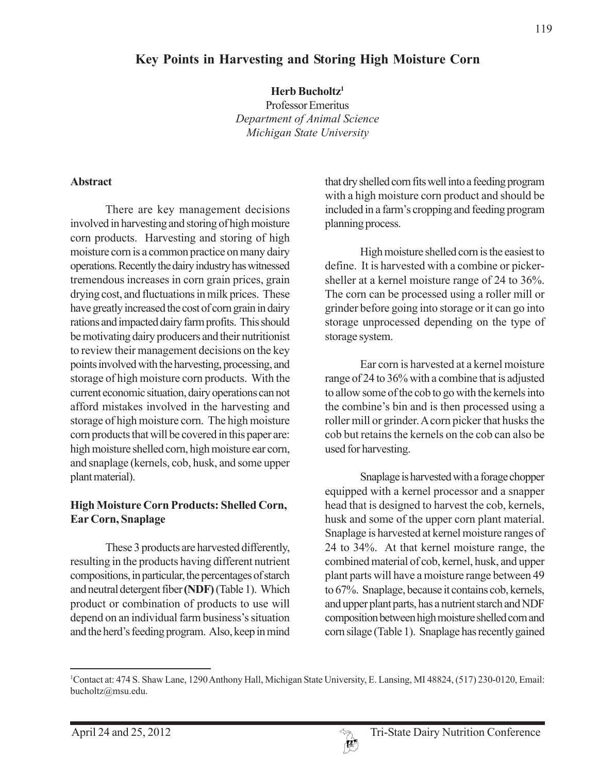# **Key Points in Harvesting and Storing High Moisture Corn**

**Herb Bucholtz1**

Professor Emeritus *Department of Animal Science Michigan State University*

#### **Abstract**

There are key management decisions involved in harvesting and storing of high moisture corn products. Harvesting and storing of high moisture corn is a common practice on many dairy operations. Recently the dairy industry has witnessed tremendous increases in corn grain prices, grain drying cost, and fluctuations in milk prices. These have greatly increased the cost of corn grain in dairy rations and impacted dairy farm profits. This should be motivating dairy producers and their nutritionist to review their management decisions on the key points involved with the harvesting, processing, and storage of high moisture corn products. With the current economic situation, dairy operations can not afford mistakes involved in the harvesting and storage of high moisture corn. The high moisture corn products that will be covered in this paper are: high moisture shelled corn, high moisture ear corn, and snaplage (kernels, cob, husk, and some upper plant material).

# **High Moisture Corn Products: Shelled Corn, Ear Corn, Snaplage**

These 3 products are harvested differently, resulting in the products having different nutrient compositions, in particular, the percentages of starch and neutral detergent fiber **(NDF)** (Table 1). Which product or combination of products to use will depend on an individual farm business's situation and the herd's feeding program. Also, keep in mind that dry shelled corn fits well into a feeding program with a high moisture corn product and should be included in a farm's cropping and feeding program planning process.

High moisture shelled corn is the easiest to define. It is harvested with a combine or pickersheller at a kernel moisture range of 24 to 36%. The corn can be processed using a roller mill or grinder before going into storage or it can go into storage unprocessed depending on the type of storage system.

Ear corn is harvested at a kernel moisture range of 24 to 36% with a combine that is adjusted to allow some of the cob to go with the kernels into the combine's bin and is then processed using a roller mill or grinder. A corn picker that husks the cob but retains the kernels on the cob can also be used for harvesting.

Snaplage is harvested with a forage chopper equipped with a kernel processor and a snapper head that is designed to harvest the cob, kernels, husk and some of the upper corn plant material. Snaplage is harvested at kernel moisture ranges of 24 to 34%. At that kernel moisture range, the combined material of cob, kernel, husk, and upper plant parts will have a moisture range between 49 to 67%. Snaplage, because it contains cob, kernels, and upper plant parts, has a nutrient starch and NDF composition between high moisture shelled corn and corn silage (Table 1). Snaplage has recently gained



<sup>1</sup> Contact at: 474 S. Shaw Lane, 1290 Anthony Hall, Michigan State University, E. Lansing, MI 48824, (517) 230-0120, Email: bucholtz@msu.edu.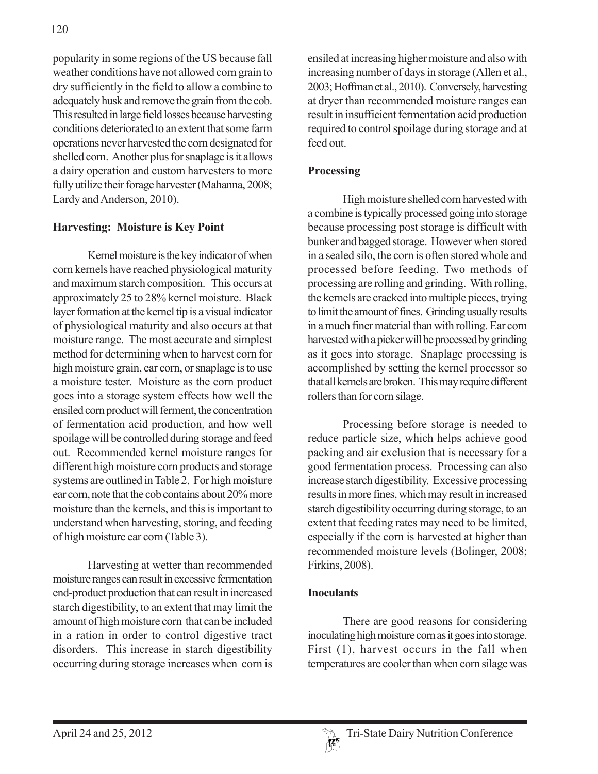popularity in some regions of the US because fall weather conditions have not allowed corn grain to dry sufficiently in the field to allow a combine to adequately husk and remove the grain from the cob. This resulted in large field losses because harvesting conditions deteriorated to an extent that some farm operations never harvested the corn designated for shelled corn. Another plus for snaplage is it allows a dairy operation and custom harvesters to more fully utilize their forage harvester (Mahanna, 2008; Lardy and Anderson, 2010).

# **Harvesting: Moisture is Key Point**

Kernel moisture is the key indicator of when corn kernels have reached physiological maturity and maximum starch composition. This occurs at approximately 25 to 28% kernel moisture. Black layer formation at the kernel tip is a visual indicator of physiological maturity and also occurs at that moisture range. The most accurate and simplest method for determining when to harvest corn for high moisture grain, ear corn, or snaplage is to use a moisture tester. Moisture as the corn product goes into a storage system effects how well the ensiled corn product will ferment, the concentration of fermentation acid production, and how well spoilage will be controlled during storage and feed out. Recommended kernel moisture ranges for different high moisture corn products and storage systems are outlined in Table 2. For high moisture ear corn, note that the cob contains about 20% more moisture than the kernels, and this is important to understand when harvesting, storing, and feeding of high moisture ear corn (Table 3).

Harvesting at wetter than recommended moisture ranges can result in excessive fermentation end-product production that can result in increased starch digestibility, to an extent that may limit the amount of high moisture corn that can be included in a ration in order to control digestive tract disorders. This increase in starch digestibility occurring during storage increases when corn is

ensiled at increasing higher moisture and also with increasing number of days in storage (Allen et al., 2003; Hoffman et al., 2010). Conversely, harvesting at dryer than recommended moisture ranges can result in insufficient fermentation acid production required to control spoilage during storage and at feed out.

# **Processing**

High moisture shelled corn harvested with a combine is typically processed going into storage because processing post storage is difficult with bunker and bagged storage. However when stored in a sealed silo, the corn is often stored whole and processed before feeding. Two methods of processing are rolling and grinding. With rolling, the kernels are cracked into multiple pieces, trying to limit the amount of fines. Grinding usually results in a much finer material than with rolling. Ear corn harvested with a picker will be processed by grinding as it goes into storage. Snaplage processing is accomplished by setting the kernel processor so that all kernels are broken. This may require different rollers than for corn silage.

Processing before storage is needed to reduce particle size, which helps achieve good packing and air exclusion that is necessary for a good fermentation process. Processing can also increase starch digestibility. Excessive processing results in more fines, which may result in increased starch digestibility occurring during storage, to an extent that feeding rates may need to be limited, especially if the corn is harvested at higher than recommended moisture levels (Bolinger, 2008; Firkins, 2008).

# **Inoculants**

There are good reasons for considering inoculating high moisture corn as it goes into storage. First  $(1)$ , harvest occurs in the fall when temperatures are cooler than when corn silage was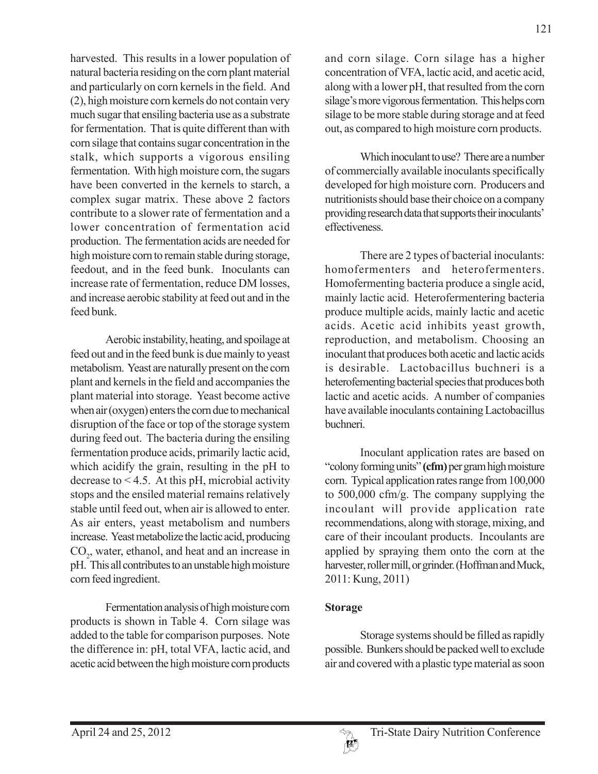harvested. This results in a lower population of natural bacteria residing on the corn plant material and particularly on corn kernels in the field. And (2), high moisture corn kernels do not contain very much sugar that ensiling bacteria use as a substrate for fermentation. That is quite different than with corn silage that contains sugar concentration in the stalk, which supports a vigorous ensiling fermentation. With high moisture corn, the sugars have been converted in the kernels to starch, a complex sugar matrix. These above 2 factors contribute to a slower rate of fermentation and a lower concentration of fermentation acid production. The fermentation acids are needed for high moisture corn to remain stable during storage, feedout, and in the feed bunk. Inoculants can increase rate of fermentation, reduce DM losses, and increase aerobic stability at feed out and in the feed bunk.

Aerobic instability, heating, and spoilage at feed out and in the feed bunk is due mainly to yeast metabolism. Yeast are naturally present on the corn plant and kernels in the field and accompanies the plant material into storage. Yeast become active when air (oxygen) enters the corn due to mechanical disruption of the face or top of the storage system during feed out. The bacteria during the ensiling fermentation produce acids, primarily lactic acid, which acidify the grain, resulting in the pH to decrease to < 4.5. At this pH, microbial activity stops and the ensiled material remains relatively stable until feed out, when air is allowed to enter. As air enters, yeast metabolism and numbers increase. Yeast metabolize the lactic acid, producing CO<sub>2</sub>, water, ethanol, and heat and an increase in pH. This all contributes to an unstable high moisture corn feed ingredient.

Fermentation analysis of high moisture corn products is shown in Table 4. Corn silage was added to the table for comparison purposes. Note the difference in: pH, total VFA, lactic acid, and acetic acid between the high moisture corn products

and corn silage. Corn silage has a higher concentration of VFA, lactic acid, and acetic acid, along with a lower pH, that resulted from the corn silage's more vigorous fermentation. This helps corn silage to be more stable during storage and at feed out, as compared to high moisture corn products.

Which inoculant to use? There are a number of commercially available inoculants specifically developed for high moisture corn. Producers and nutritionists should base their choice on a company providing research data that supports their inoculants' effectiveness.

There are 2 types of bacterial inoculants: homofermenters and heterofermenters. Homofermenting bacteria produce a single acid, mainly lactic acid. Heterofermentering bacteria produce multiple acids, mainly lactic and acetic acids. Acetic acid inhibits yeast growth, reproduction, and metabolism. Choosing an inoculant that produces both acetic and lactic acids is desirable. Lactobacillus buchneri is a heterofementing bacterial species that produces both lactic and acetic acids. A number of companies have available inoculants containing Lactobacillus buchneri.

Inoculant application rates are based on "colony forming units" **(cfm)** per gram high moisture corn. Typical application rates range from 100,000 to 500,000 cfm/g. The company supplying the incoulant will provide application rate recommendations, along with storage, mixing, and care of their incoulant products. Incoulants are applied by spraying them onto the corn at the harvester, roller mill, or grinder. (Hoffman and Muck, 2011: Kung, 2011)

# **Storage**

Storage systems should be filled as rapidly possible. Bunkers should be packed well to exclude air and covered with a plastic type material as soon

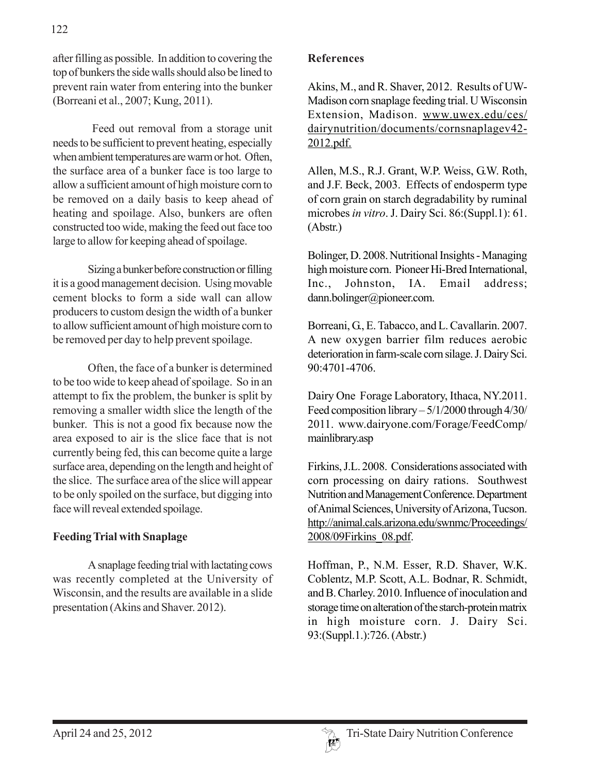after filling as possible. In addition to covering the top of bunkers the side walls should also be lined to prevent rain water from entering into the bunker (Borreani et al., 2007; Kung, 2011).

 Feed out removal from a storage unit needs to be sufficient to prevent heating, especially when ambient temperatures are warm or hot. Often, the surface area of a bunker face is too large to allow a sufficient amount of high moisture corn to be removed on a daily basis to keep ahead of heating and spoilage. Also, bunkers are often constructed too wide, making the feed out face too large to allow for keeping ahead of spoilage.

Sizing a bunker before construction or filling it is a good management decision. Using movable cement blocks to form a side wall can allow producers to custom design the width of a bunker to allow sufficient amount of high moisture corn to be removed per day to help prevent spoilage.

Often, the face of a bunker is determined to be too wide to keep ahead of spoilage. So in an attempt to fix the problem, the bunker is split by removing a smaller width slice the length of the bunker. This is not a good fix because now the area exposed to air is the slice face that is not currently being fed, this can become quite a large surface area, depending on the length and height of the slice. The surface area of the slice will appear to be only spoiled on the surface, but digging into face will reveal extended spoilage.

# **Feeding Trial with Snaplage**

A snaplage feeding trial with lactating cows was recently completed at the University of Wisconsin, and the results are available in a slide presentation (Akins and Shaver. 2012).

#### **References**

Akins, M., and R. Shaver, 2012. Results of UW-Madison corn snaplage feeding trial. U Wisconsin Extension, Madison. www.uwex.edu/ces/ dairynutrition/documents/cornsnaplagev42- 2012.pdf.

Allen, M.S., R.J. Grant, W.P. Weiss, G.W. Roth, and J.F. Beck, 2003. Effects of endosperm type of corn grain on starch degradability by ruminal microbes *in vitro*. J. Dairy Sci. 86:(Suppl.1): 61. (Abstr.)

Bolinger, D. 2008. Nutritional Insights - Managing high moisture corn. Pioneer Hi-Bred International, Inc., Johnston, IA. Email address; dann.bolinger@pioneer.com.

Borreani, G., E. Tabacco, and L. Cavallarin. 2007. A new oxygen barrier film reduces aerobic deterioration in farm-scale corn silage. J. Dairy Sci. 90:4701-4706.

Dairy One Forage Laboratory, Ithaca, NY.2011. Feed composition library – 5/1/2000 through 4/30/ 2011. www.dairyone.com/Forage/FeedComp/ mainlibrary.asp

Firkins, J.L. 2008. Considerations associated with corn processing on dairy rations. Southwest Nutrition and Management Conference. Department of Animal Sciences, University of Arizona, Tucson. http://animal.cals.arizona.edu/swnmc/Proceedings/ 2008/09Firkins\_08.pdf.

Hoffman, P., N.M. Esser, R.D. Shaver, W.K. Coblentz, M.P. Scott, A.L. Bodnar, R. Schmidt, and B. Charley. 2010. Influence of inoculation and storage time on alteration of the starch-protein matrix in high moisture corn. J. Dairy Sci. 93:(Suppl.1.):726. (Abstr.)

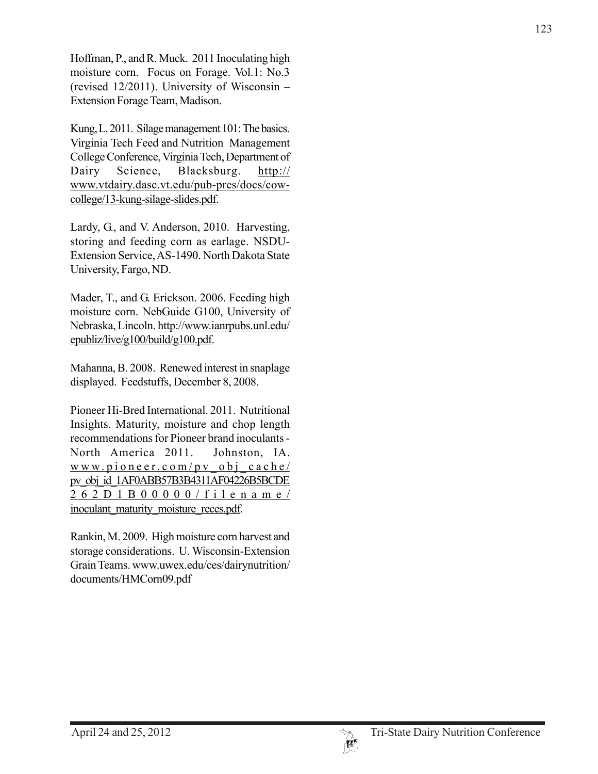Hoffman, P., and R. Muck. 2011 Inoculating high moisture corn. Focus on Forage. Vol.1: No.3 (revised 12/2011). University of Wisconsin – Extension Forage Team, Madison.

Kung, L. 2011. Silage management 101: The basics. Virginia Tech Feed and Nutrition Management College Conference, Virginia Tech, Department of Dairy Science, Blacksburg. http:// www.vtdairy.dasc.vt.edu/pub-pres/docs/cowcollege/13-kung-silage-slides.pdf.

Lardy, G., and V. Anderson, 2010. Harvesting, storing and feeding corn as earlage. NSDU-Extension Service, AS-1490. North Dakota State University, Fargo, ND.

Mader, T., and G. Erickson. 2006. Feeding high moisture corn. NebGuide G100, University of Nebraska, Lincoln. http://www.ianrpubs.unl.edu/ epubliz/live/g100/build/g100.pdf.

Mahanna, B. 2008. Renewed interest in snaplage displayed. Feedstuffs, December 8, 2008.

Pioneer Hi-Bred International. 2011. Nutritional Insights. Maturity, moisture and chop length recommendations for Pioneer brand inoculants - North America 2011. Johnston, IA. www.pioneer.com/pv\_obj\_cache/ pv\_obj\_id\_1AF0ABB57B3B4311AF04226B5BCDE 262D1B00000/filename/ inoculant\_maturity\_moisture\_reces.pdf.

Rankin, M. 2009. High moisture corn harvest and storage considerations. U. Wisconsin-Extension Grain Teams. www.uwex.edu/ces/dairynutrition/ documents/HMCorn09.pdf

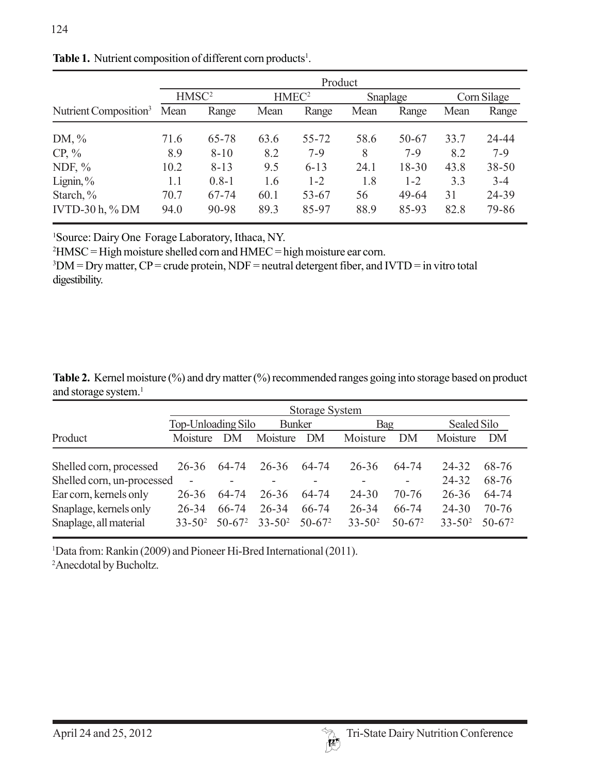|                                   | Product           |                |                   |                    |            |                |             |                |  |
|-----------------------------------|-------------------|----------------|-------------------|--------------------|------------|----------------|-------------|----------------|--|
|                                   | HMSC <sup>2</sup> |                | HMEC <sup>2</sup> |                    | Snaplage   |                | Corn Silage |                |  |
| Nutrient Composition <sup>3</sup> | Mean              | Range          | Mean              | Range              | Mean       | Range          | Mean        | Range          |  |
| DM, $\%$                          | 71.6              | 65-78          | 63.6              | 55-72              | 58.6       | 50-67          | 33.7        | 24-44          |  |
| $CP, \%$                          | 8.9               | $8 - 10$       | 8.2               | $7-9$              | 8          | $7-9$          | 8.2         | $7-9$          |  |
| NDF, $\%$                         | 10.2              | $8 - 13$       | 9.5               | $6 - 13$           | 24.1       | $18 - 30$      | 43.8        | $38 - 50$      |  |
| Lignin, $\%$                      | 1.1               | $0.8 - 1$      | 1.6               | $1 - 2$            | 1.8        | $1 - 2$        | 3.3         | $3 - 4$        |  |
| Starch, %<br>IVTD-30 $h, \%$ DM   | 70.7<br>94.0      | 67-74<br>90-98 | 60.1<br>89.3      | $53 - 67$<br>85-97 | 56<br>88.9 | 49-64<br>85-93 | 31<br>82.8  | 24-39<br>79-86 |  |

Table 1. Nutrient composition of different corn products<sup>1</sup>.

1 Source: Dairy One Forage Laboratory, Ithaca, NY.

 $^{2}$ HMSC = High moisture shelled corn and HMEC = high moisture ear corn.

 $3$ DM = Dry matter, CP = crude protein, NDF = neutral detergent fiber, and IVTD = in vitro total digestibility.

**Table 2.** Kernel moisture (%) and dry matter (%) recommended ranges going into storage based on product and storage system.<sup>1</sup>

|                                                      | <b>Storage System</b>                 |                    |                          |                    |                          |                    |                      |                      |  |
|------------------------------------------------------|---------------------------------------|--------------------|--------------------------|--------------------|--------------------------|--------------------|----------------------|----------------------|--|
|                                                      | Top-Unloading Silo<br><b>Bunker</b>   |                    |                          |                    | Bag                      |                    | Sealed Silo          |                      |  |
| Product                                              | Moisture                              | DM                 | Moisture                 | DM                 | Moisture                 | DM                 | Moisture             | DM                   |  |
| Shelled corn, processed                              | $26 - 36$                             | 64-74              | $26 - 36$                | 64-74              | 26-36                    | 64-74              | 24-32                | 68-76                |  |
| Shelled corn, un-processed<br>Ear corn, kernels only | $\overline{\phantom{0}}$<br>$26 - 36$ | 64-74              | 26-36                    | Ξ.<br>64-74        | $24 - 30$                | -<br>$70-76$       | 24-32<br>$26 - 36$   | 68-76<br>64-74       |  |
| Snaplage, kernels only<br>Snaplage, all material     | $26 - 34$<br>$33 - 50^2$              | 66-74<br>$50-67^2$ | $26 - 34$<br>$33 - 50^2$ | 66-74<br>$50-67^2$ | $26 - 34$<br>$33 - 50^2$ | 66-74<br>$50-67^2$ | 24-30<br>$33 - 50^2$ | $70-76$<br>$50-67^2$ |  |

<sup>1</sup>Data from: Rankin (2009) and Pioneer Hi-Bred International (2011).

2 Anecdotal by Bucholtz.